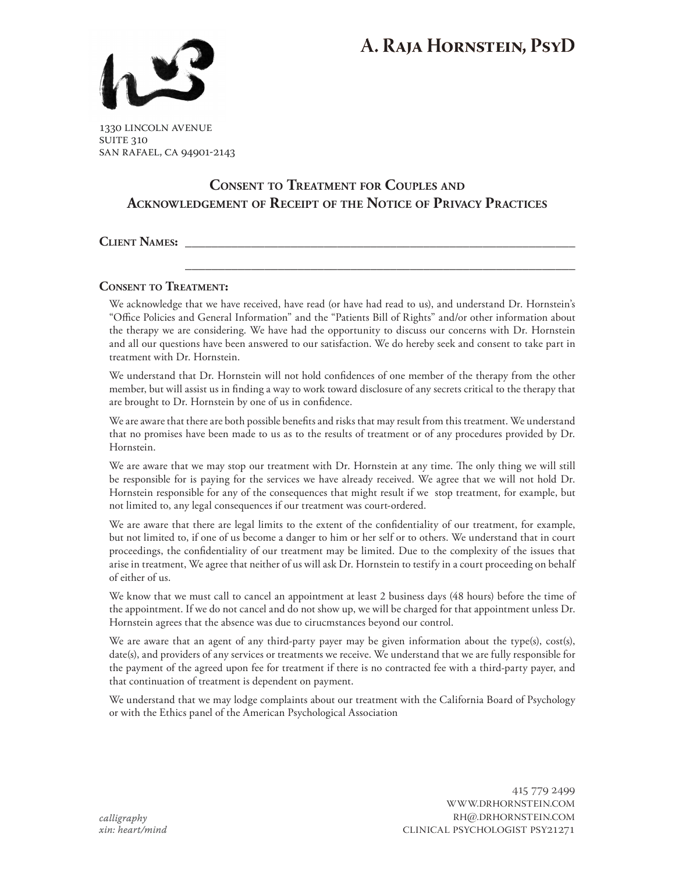# **A. Raja Hornstein, PsyD**



1330 lincoln avenue **SUITE 310** san rafael, ca 94901-2143

## **Consent to Treatment for Couples and Acknowledgement of Receipt of the Notice of Privacy Practices**

 **\_\_\_\_\_\_\_\_\_\_\_\_\_\_\_\_\_\_\_\_\_\_\_\_\_\_\_\_\_\_\_\_\_\_\_\_\_\_\_\_\_\_\_\_\_\_\_\_\_\_\_\_\_\_\_\_\_\_\_**

**Client Names: \_\_\_\_\_\_\_\_\_\_\_\_\_\_\_\_\_\_\_\_\_\_\_\_\_\_\_\_\_\_\_\_\_\_\_\_\_\_\_\_\_\_\_\_\_\_\_\_\_\_\_\_\_\_\_\_\_\_\_**

**Consent to Treatment:**

We acknowledge that we have received, have read (or have had read to us), and understand Dr. Hornstein's "Office Policies and General Information" and the "Patients Bill of Rights" and/or other information about the therapy we are considering. We have had the opportunity to discuss our concerns with Dr. Hornstein and all our questions have been answered to our satisfaction. We do hereby seek and consent to take part in treatment with Dr. Hornstein.

We understand that Dr. Hornstein will not hold confidences of one member of the therapy from the other member, but will assist us in finding a way to work toward disclosure of any secrets critical to the therapy that are brought to Dr. Hornstein by one of us in confidence.

We are aware that there are both possible benefits and risks that may result from this treatment. We understand that no promises have been made to us as to the results of treatment or of any procedures provided by Dr. Hornstein.

We are aware that we may stop our treatment with Dr. Hornstein at any time. The only thing we will still be responsible for is paying for the services we have already received. We agree that we will not hold Dr. Hornstein responsible for any of the consequences that might result if we stop treatment, for example, but not limited to, any legal consequences if our treatment was court-ordered.

We are aware that there are legal limits to the extent of the confidentiality of our treatment, for example, but not limited to, if one of us become a danger to him or her self or to others. We understand that in court proceedings, the confidentiality of our treatment may be limited. Due to the complexity of the issues that arise in treatment, We agree that neither of us will ask Dr. Hornstein to testify in a court proceeding on behalf of either of us.

We know that we must call to cancel an appointment at least 2 business days (48 hours) before the time of the appointment. If we do not cancel and do not show up, we will be charged for that appointment unless Dr. Hornstein agrees that the absence was due to cirucmstances beyond our control.

We are aware that an agent of any third-party payer may be given information about the type(s), cost(s), date(s), and providers of any services or treatments we receive. We understand that we are fully responsible for the payment of the agreed upon fee for treatment if there is no contracted fee with a third-party payer, and that continuation of treatment is dependent on payment.

We understand that we may lodge complaints about our treatment with the California Board of Psychology or with the Ethics panel of the American Psychological Association

> 415 779 2499 www.drhornstein.com rh@.drhornstein.com clinical psychologist psy21271

*calligraphy xin: heart/mind*